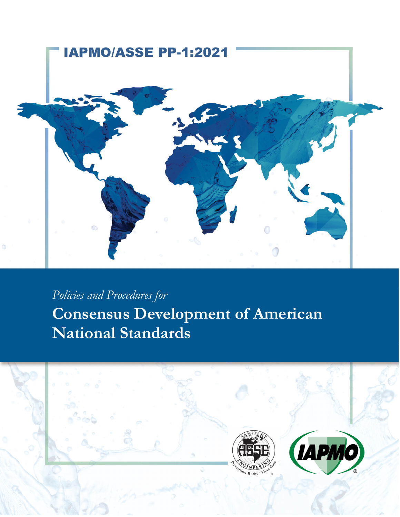

*Policies and Procedures for*  **Consensus Development of American National Standards** 

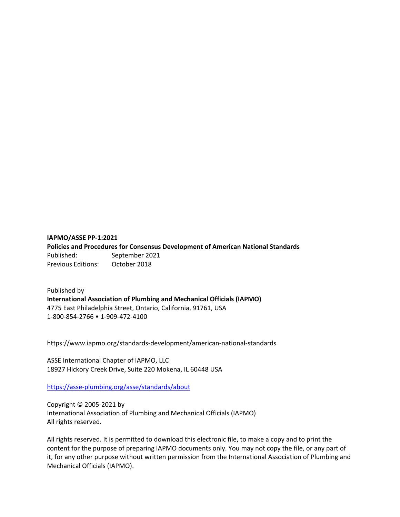## **IAPMO/ASSE PP‐1:2021 Policies and Procedures for Consensus Development of American National Standards** Published: September 2021 Previous Editions: October 2018

Published by **International Association of Plumbing and Mechanical Officials (IAPMO)** 4775 East Philadelphia Street, Ontario, California, 91761, USA 1‐800‐854‐2766 • 1‐909‐472‐4100

https://www.iapmo.org/standards‐development/american‐national‐standards

ASSE International Chapter of IAPMO, LLC 18927 Hickory Creek Drive, Suite 220 Mokena, IL 60448 USA

https://asse‐plumbing.org/asse/standards/about

Copyright © 2005‐2021 by International Association of Plumbing and Mechanical Officials (IAPMO) All rights reserved.

All rights reserved. It is permitted to download this electronic file, to make a copy and to print the content for the purpose of preparing IAPMO documents only. You may not copy the file, or any part of it, for any other purpose without written permission from the International Association of Plumbing and Mechanical Officials (IAPMO).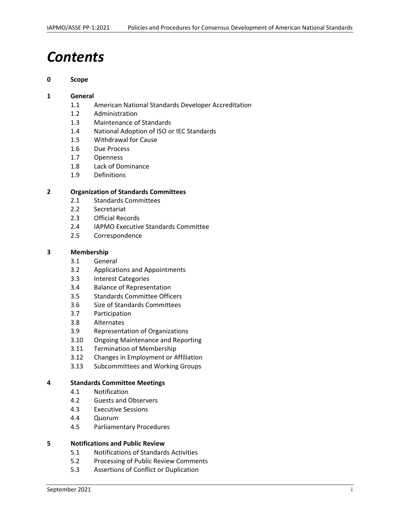# *Contents*

#### **0 Scope**

#### **1 General**

- 1.1 American National Standards Developer Accreditation
- 1.2 Administration
- 1.3 Maintenance of Standards
- 1.4 National Adoption of ISO or IEC Standards
- 1.5 Withdrawal for Cause
- 1.6 Due Process
- 1.7 Openness
- 1.8 Lack of Dominance
- 1.9 Definitions

#### **2 Organization of Standards Committees**

- 2.1 Standards Committees
- 2.2 Secretariat
- 2.3 Official Records
- 2.4 IAPMO Executive Standards Committee
- 2.5 Correspondence

#### **3 Membership**

- 3.1 General
- 3.2 Applications and Appointments
- 3.3 Interest Categories
- 3.4 Balance of Representation
- 3.5 Standards Committee Officers
- 3.6 Size of Standards Committees
- 3.7 Participation
- 3.8 Alternates
- 3.9 Representation of Organizations
- 3.10 Ongoing Maintenance and Reporting
- 3.11 Termination of Membership
- 3.12 Changes in Employment or Affiliation
- 3.13 Subcommittees and Working Groups

#### **4 Standards Committee Meetings**

- 4.1 Notification
- 4.2 Guests and Observers
- 4.3 Executive Sessions
- 4.4 Quorum
- 4.5 Parliamentary Procedures

#### **5 Notifications and Public Review**

- 5.1 Notifications of Standards Activities
- 5.2 Processing of Public Review Comments
- 5.3 Assertions of Conflict or Duplication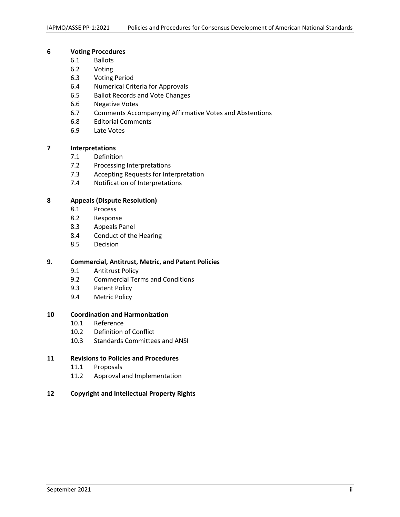#### **6 Voting Procedures**

- 6.1 Ballots
- 6.2 Voting
- 6.3 Voting Period
- 6.4 Numerical Criteria for Approvals
- 6.5 Ballot Records and Vote Changes
- 6.6 Negative Votes
- 6.7 Comments Accompanying Affirmative Votes and Abstentions
- 6.8 Editorial Comments
- 6.9 Late Votes

#### **7 Interpretations**

- 7.1 Definition
- 7.2 Processing Interpretations
- 7.3 Accepting Requests for Interpretation
- 7.4 Notification of Interpretations

#### **8 Appeals (Dispute Resolution)**

- 8.1 Process
- 8.2 Response
- 8.3 Appeals Panel
- 8.4 Conduct of the Hearing
- 8.5 Decision

#### **9. Commercial, Antitrust, Metric, and Patent Policies**

- 9.1 Antitrust Policy
- 9.2 Commercial Terms and Conditions
- 9.3 Patent Policy
- 9.4 Metric Policy

#### **10 Coordination and Harmonization**

- 10.1 Reference
- 10.2 Definition of Conflict
- 10.3 Standards Committees and ANSI

#### **11 Revisions to Policies and Procedures**

- 11.1 Proposals
- 11.2 Approval and Implementation
- **12 Copyright and Intellectual Property Rights**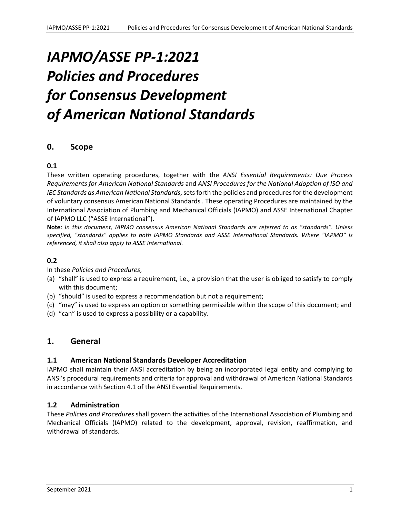# *IAPMO/ASSE PP‐1:2021 Policies and Procedures for Consensus Development of American National Standards*

## **0. Scope**

## **0.1**

These written operating procedures, together with the *ANSI Essential Requirements: Due Process Requirements for American National Standards* and *ANSI Procedures for the National Adoption of ISO and IEC Standards as American National Standards*, sets forth the policies and procedures for the development of voluntary consensus American National Standards . These operating Procedures are maintained by the International Association of Plumbing and Mechanical Officials (IAPMO) and ASSE International Chapter of IAPMO LLC ("ASSE International").

**Note***: In this document, IAPMO consensus American National Standards are referred to as "standards". Unless specified, "standards" applies to both IAPMO Standards and ASSE International Standards. Where "IAPMO" is referenced, it shall also apply to ASSE International.*

#### **0.2**

In these *Policies and Procedures*,

- (a) "shall" is used to express a requirement, i.e., a provision that the user is obliged to satisfy to comply with this document;
- (b) "should" is used to express a recommendation but not a requirement;
- (c) "may" is used to express an option or something permissible within the scope of this document; and
- (d) "can" is used to express a possibility or a capability.

## **1. General**

#### **1.1 American National Standards Developer Accreditation**

IAPMO shall maintain their ANSI accreditation by being an incorporated legal entity and complying to ANSI's procedural requirements and criteria for approval and withdrawal of American National Standards in accordance with Section 4.1 of the ANSI Essential Requirements.

#### **1.2 Administration**

These *Policies and Procedures* shall govern the activities of the International Association of Plumbing and Mechanical Officials (IAPMO) related to the development, approval, revision, reaffirmation, and withdrawal of standards.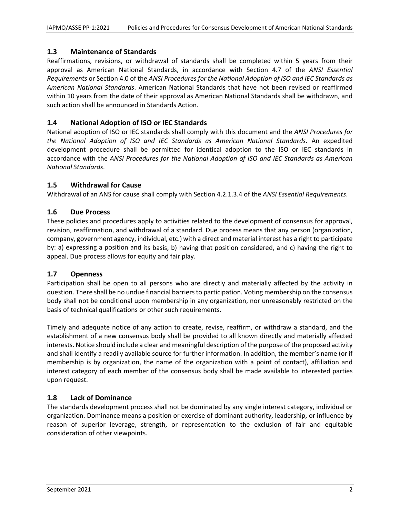## **1.3 Maintenance of Standards**

Reaffirmations, revisions, or withdrawal of standards shall be completed within 5 years from their approval as American National Standards, in accordance with Section 4.7 of the *ANSI Essential Requirements* or Section 4.0 of the *ANSI Procedures for the National Adoption of ISO and IEC Standards as American National Standards*. American National Standards that have not been revised or reaffirmed within 10 years from the date of their approval as American National Standards shall be withdrawn, and such action shall be announced in Standards Action.

#### **1.4 National Adoption of ISO or IEC Standards**

National adoption of ISO or IEC standards shall comply with this document and the *ANSI Procedures for the National Adoption of ISO and IEC Standards as American National Standards*. An expedited development procedure shall be permitted for identical adoption to the ISO or IEC standards in accordance with the *ANSI Procedures for the National Adoption of ISO and IEC Standards as American National Standards*.

#### **1.5 Withdrawal for Cause**

Withdrawal of an ANS for cause shall comply with Section 4.2.1.3.4 of the *ANSI Essential Requirements*.

## **1.6 Due Process**

These policies and procedures apply to activities related to the development of consensus for approval, revision, reaffirmation, and withdrawal of a standard. Due process means that any person (organization, company, government agency, individual, etc.) with a direct and material interest has a right to participate by: a) expressing a position and its basis, b) having that position considered, and c) having the right to appeal. Due process allows for equity and fair play.

## **1.7 Openness**

Participation shall be open to all persons who are directly and materially affected by the activity in question. There shall be no undue financial barriersto participation. Voting membership on the consensus body shall not be conditional upon membership in any organization, nor unreasonably restricted on the basis of technical qualifications or other such requirements.

Timely and adequate notice of any action to create, revise, reaffirm, or withdraw a standard, and the establishment of a new consensus body shall be provided to all known directly and materially affected interests. Notice should include a clear and meaningful description of the purpose of the proposed activity and shall identify a readily available source for further information. In addition, the member's name (or if membership is by organization, the name of the organization with a point of contact), affiliation and interest category of each member of the consensus body shall be made available to interested parties upon request.

## **1.8 Lack of Dominance**

The standards development process shall not be dominated by any single interest category, individual or organization. Dominance means a position or exercise of dominant authority, leadership, or influence by reason of superior leverage, strength, or representation to the exclusion of fair and equitable consideration of other viewpoints.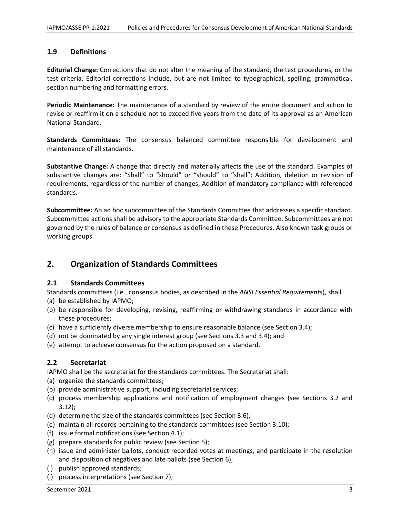#### **1.9 Definitions**

**Editorial Change:** Corrections that do not alter the meaning of the standard, the test procedures, or the test criteria. Editorial corrections include, but are not limited to typographical, spelling, grammatical, section numbering and formatting errors.

**Periodic Maintenance:** The maintenance of a standard by review of the entire document and action to revise or reaffirm it on a schedule not to exceed five years from the date of its approval as an American National Standard.

**Standards Committees:** The consensus balanced committee responsible for development and maintenance of all standards.

**Substantive Change:** A change that directly and materially affects the use of the standard. Examples of substantive changes are: "Shall" to "should" or "should" to "shall"; Addition, deletion or revision of requirements, regardless of the number of changes; Addition of mandatory compliance with referenced standards.

**Subcommittee:** An ad hoc subcommittee of the Standards Committee that addresses a specific standard. Subcommittee actions shall be advisory to the appropriate Standards Committee. Subcommittees are not governed by the rules of balance or consensus as defined in these Procedures. Also known task groups or working groups.

# **2. Organization of Standards Committees**

#### **2.1 Standards Committees**

Standards committees (i.e., consensus bodies, as described in the *ANSI Essential Requirements*), shall

- (a) be established by IAPMO;
- (b) be responsible for developing, revising, reaffirming or withdrawing standards in accordance with these procedures;
- (c) have a sufficiently diverse membership to ensure reasonable balance (see Section 3.4);
- (d) not be dominated by any single interest group (see Sections 3.3 and 3.4); and
- (e) attempt to achieve consensus for the action proposed on a standard.

## **2.2 Secretariat**

IAPMO shall be the secretariat for the standards committees. The Secretariat shall:

- (a) organize the standards committees;
- (b) provide administrative support, including secretarial services;
- (c) process membership applications and notification of employment changes (see Sections 3.2 and 3.12);
- (d) determine the size of the standards committees (see Section 3.6);
- (e) maintain all records pertaining to the standards committees (see Section 3.10);
- (f) issue formal notifications (see Section 4.1);
- (g) prepare standards for public review (see Section 5);
- (h) issue and administer ballots, conduct recorded votes at meetings, and participate in the resolution and disposition of negatives and late ballots (see Section 6);
- (i) publish approved standards;
- (j) process interpretations (see Section 7);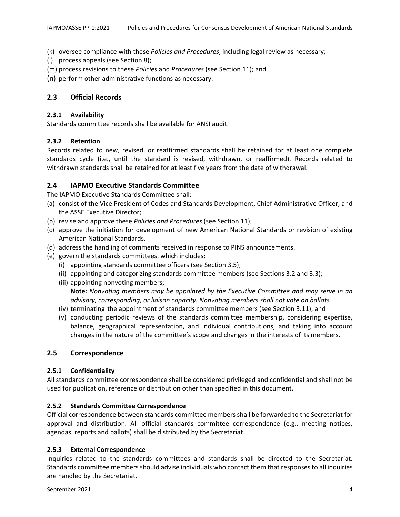- (k) oversee compliance with these *Policies and Procedures*, including legal review as necessary;
- (l) process appeals (see Section 8);
- (m) process revisions to these *Policies* and *Procedures* (see Section 11); and
- (n) perform other administrative functions as necessary.

#### **2.3 Official Records**

#### **2.3.1 Availability**

Standards committee records shall be available for ANSI audit.

#### **2.3.2 Retention**

Records related to new, revised, or reaffirmed standards shall be retained for at least one complete standards cycle (i.e., until the standard is revised, withdrawn, or reaffirmed). Records related to withdrawn standards shall be retained for at least five years from the date of withdrawal.

#### **2.4 IAPMO Executive Standards Committee**

The IAPMO Executive Standards Committee shall:

- (a) consist of the Vice President of Codes and Standards Development, Chief Administrative Officer, and the ASSE Executive Director;
- (b) revise and approve these *Policies and Procedures* (see Section 11);
- (c) approve the initiation for development of new American National Standards or revision of existing American National Standards.
- (d) address the handling of comments received in response to PINS announcements.
- (e) govern the standards committees, which includes:
	- (i) appointing standards committee officers (see Section 3.5);
	- (ii) appointing and categorizing standards committee members (see Sections 3.2 and 3.3);
	- (iii) appointing nonvoting members; **Note***: Nonvoting members may be appointed by the Executive Committee and may serve in an advisory, corresponding, or liaison capacity. Nonvoting members shall not vote on ballots.*
	- (iv) terminating the appointment of standards committee members (see Section 3.11); and
	- (v) conducting periodic reviews of the standards committee membership, considering expertise, balance, geographical representation, and individual contributions, and taking into account changes in the nature of the committee's scope and changes in the interests of its members.

#### **2.5 Correspondence**

#### **2.5.1 Confidentiality**

All standards committee correspondence shall be considered privileged and confidential and shall not be used for publication, reference or distribution other than specified in this document.

#### **2.5.2 Standards Committee Correspondence**

Official correspondence between standards committee membersshall be forwarded to the Secretariat for approval and distribution. All official standards committee correspondence (e.g., meeting notices, agendas, reports and ballots) shall be distributed by the Secretariat.

#### **2.5.3 External Correspondence**

Inquiries related to the standards committees and standards shall be directed to the Secretariat. Standards committee membersshould advise individuals who contact them that responsesto all inquiries are handled by the Secretariat.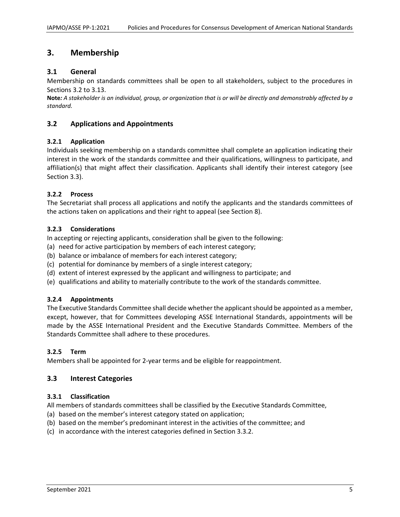# **3. Membership**

## **3.1 General**

Membership on standards committees shall be open to all stakeholders, subject to the procedures in Sections 3.2 to 3.13.

Note: A stakeholder is an individual, group, or organization that is or will be directly and demonstrably affected by a *standard.*

## **3.2 Applications and Appointments**

#### **3.2.1 Application**

Individuals seeking membership on a standards committee shall complete an application indicating their interest in the work of the standards committee and their qualifications, willingness to participate, and affiliation(s) that might affect their classification. Applicants shall identify their interest category (see Section 3.3).

#### **3.2.2 Process**

The Secretariat shall process all applications and notify the applicants and the standards committees of the actions taken on applications and their right to appeal (see Section 8).

#### **3.2.3 Considerations**

In accepting or rejecting applicants, consideration shall be given to the following:

- (a) need for active participation by members of each interest category;
- (b) balance or imbalance of members for each interest category;
- (c) potential for dominance by members of a single interest category;
- (d) extent of interest expressed by the applicant and willingness to participate; and
- (e) qualifications and ability to materially contribute to the work of the standards committee.

#### **3.2.4 Appointments**

The Executive Standards Committee shall decide whether the applicant should be appointed as a member, except, however, that for Committees developing ASSE International Standards, appointments will be made by the ASSE International President and the Executive Standards Committee. Members of the Standards Committee shall adhere to these procedures.

#### **3.2.5 Term**

Members shall be appointed for 2‐year terms and be eligible for reappointment.

#### **3.3 Interest Categories**

#### **3.3.1 Classification**

All members of standards committees shall be classified by the Executive Standards Committee,

- (a) based on the member's interest category stated on application;
- (b) based on the member's predominant interest in the activities of the committee; and
- (c) in accordance with the interest categories defined in Section 3.3.2.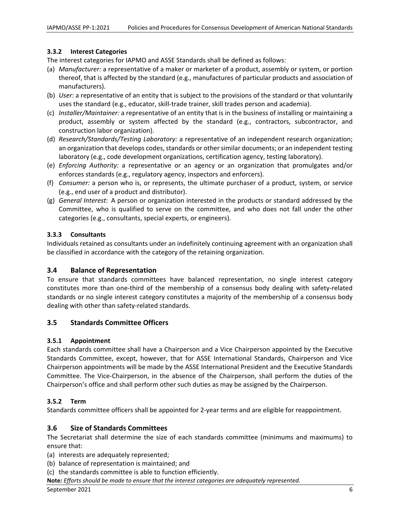## **3.3.2 Interest Categories**

The interest categories for IAPMO and ASSE Standards shall be defined as follows:

- (a) *Manufacturer:* a representative of a maker or marketer of a product, assembly or system, or portion thereof, that is affected by the standard (e.g., manufactures of particular products and association of manufacturers).
- (b) *User*: a representative of an entity that is subject to the provisions of the standard or that voluntarily uses the standard (e.g., educator, skill‐trade trainer, skill trades person and academia).
- (c) *Installer/Maintainer:* a representative of an entity that is in the business of installing or maintaining a product, assembly or system affected by the standard (e.g., contractors, subcontractor, and construction labor organization).
- (d) *Research/Standards/Testing Laboratory:* a representative of an independent research organization; an organization that develops codes, standards or other similar documents; or an independent testing laboratory (e.g., code development organizations, certification agency, testing laboratory).
- (e) *Enforcing Authority:* a representative or an agency or an organization that promulgates and/or enforces standards (e.g., regulatory agency, inspectors and enforcers).
- (f) *Consumer:* a person who is, or represents, the ultimate purchaser of a product, system, or service (e.g., end user of a product and distributor).
- (g) *General Interest*: A person or organization interested in the products or standard addressed by the Committee, who is qualified to serve on the committee, and who does not fall under the other categories (e.g., consultants, special experts, or engineers).

## **3.3.3 Consultants**

Individuals retained as consultants under an indefinitely continuing agreement with an organization shall be classified in accordance with the category of the retaining organization.

## **3.4 Balance of Representation**

To ensure that standards committees have balanced representation, no single interest category constitutes more than one-third of the membership of a consensus body dealing with safety-related standards or no single interest category constitutes a majority of the membership of a consensus body dealing with other than safety‐related standards.

## **3.5 Standards Committee Officers**

## **3.5.1 Appointment**

Each standards committee shall have a Chairperson and a Vice Chairperson appointed by the Executive Standards Committee, except, however, that for ASSE International Standards, Chairperson and Vice Chairperson appointments will be made by the ASSE International President and the Executive Standards Committee. The Vice‐Chairperson, in the absence of the Chairperson, shall perform the duties of the Chairperson's office and shall perform other such duties as may be assigned by the Chairperson.

## **3.5.2 Term**

Standards committee officers shall be appointed for 2‐year terms and are eligible for reappointment.

## **3.6 Size of Standards Committees**

The Secretariat shall determine the size of each standards committee (minimums and maximums) to ensure that:

- (a) interests are adequately represented;
- (b) balance of representation is maintained; and
- (c) the standards committee is able to function efficiently.
- **Note***: Efforts should be made to ensure that the interest categories are adequately represented.*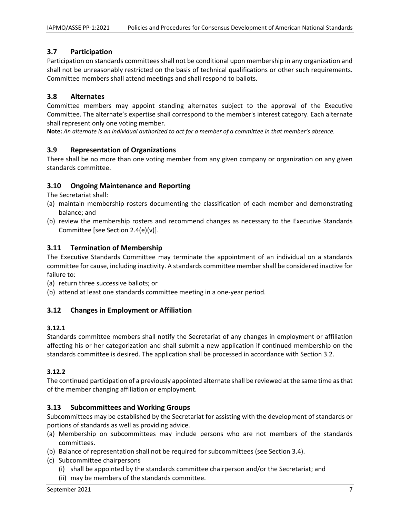## **3.7 Participation**

Participation on standards committees shall not be conditional upon membership in any organization and shall not be unreasonably restricted on the basis of technical qualifications or other such requirements. Committee members shall attend meetings and shall respond to ballots.

## **3.8 Alternates**

Committee members may appoint standing alternates subject to the approval of the Executive Committee. The alternate's expertise shall correspond to the member's interest category. Each alternate shall represent only one voting member.

Note: An alternate is an individual authorized to act for a member of a committee in that member's absence.

## **3.9 Representation of Organizations**

There shall be no more than one voting member from any given company or organization on any given standards committee.

#### **3.10 Ongoing Maintenance and Reporting**

The Secretariat shall:

- (a) maintain membership rosters documenting the classification of each member and demonstrating balance; and
- (b) review the membership rosters and recommend changes as necessary to the Executive Standards Committee [see Section 2.4(e)(v)].

#### **3.11 Termination of Membership**

The Executive Standards Committee may terminate the appointment of an individual on a standards committee for cause, including inactivity. A standards committee membershall be considered inactive for failure to:

- (a) return three successive ballots; or
- (b) attend at least one standards committee meeting in a one‐year period.

## **3.12 Changes in Employment or Affiliation**

#### **3.12.1**

Standards committee members shall notify the Secretariat of any changes in employment or affiliation affecting his or her categorization and shall submit a new application if continued membership on the standards committee is desired. The application shall be processed in accordance with Section 3.2.

#### **3.12.2**

The continued participation of a previously appointed alternate shall be reviewed at the same time asthat of the member changing affiliation or employment.

#### **3.13 Subcommittees and Working Groups**

Subcommittees may be established by the Secretariat for assisting with the development of standards or portions of standards as well as providing advice.

- (a) Membership on subcommittees may include persons who are not members of the standards committees.
- (b) Balance of representation shall not be required for subcommittees (see Section 3.4).
- (c) Subcommittee chairpersons
	- (i) shall be appointed by the standards committee chairperson and/or the Secretariat; and
	- (ii) may be members of the standards committee.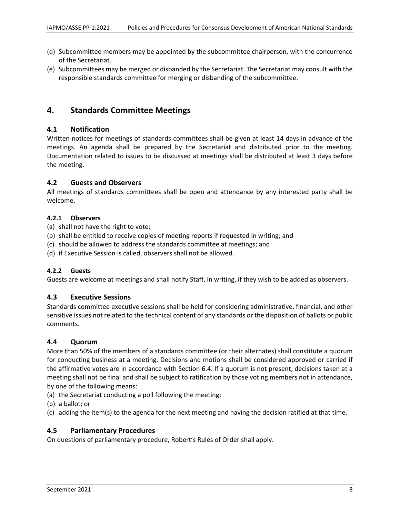- (d) Subcommittee members may be appointed by the subcommittee chairperson, with the concurrence of the Secretariat.
- (e) Subcommittees may be merged or disbanded by the Secretariat. The Secretariat may consult with the responsible standards committee for merging or disbanding of the subcommittee.

## **4. Standards Committee Meetings**

## **4.1 Notification**

Written notices for meetings of standards committees shall be given at least 14 days in advance of the meetings. An agenda shall be prepared by the Secretariat and distributed prior to the meeting. Documentation related to issues to be discussed at meetings shall be distributed at least 3 days before the meeting.

#### **4.2 Guests and Observers**

All meetings of standards committees shall be open and attendance by any interested party shall be welcome.

#### **4.2.1 Observers**

(a) shall not have the right to vote;

- (b) shall be entitled to receive copies of meeting reports if requested in writing; and
- (c) should be allowed to address the standards committee at meetings; and
- (d) if Executive Session is called, observers shall not be allowed.

## **4.2.2 Guests**

Guests are welcome at meetings and shall notify Staff, in writing, if they wish to be added as observers.

## **4.3 Executive Sessions**

Standards committee executive sessions shall be held for considering administrative, financial, and other sensitive issues not related to the technical content of any standards or the disposition of ballots or public comments.

## **4.4 Quorum**

More than 50% of the members of a standards committee (or their alternates) shall constitute a quorum for conducting business at a meeting. Decisions and motions shall be considered approved or carried if the affirmative votes are in accordance with Section 6.4. If a quorum is not present, decisions taken at a meeting shall not be final and shall be subject to ratification by those voting members not in attendance, by one of the following means:

- (a) the Secretariat conducting a poll following the meeting;
- (b) a ballot; or
- (c) adding the item(s) to the agenda for the next meeting and having the decision ratified at that time.

## **4.5 Parliamentary Procedures**

On questions of parliamentary procedure, Robert's Rules of Order shall apply.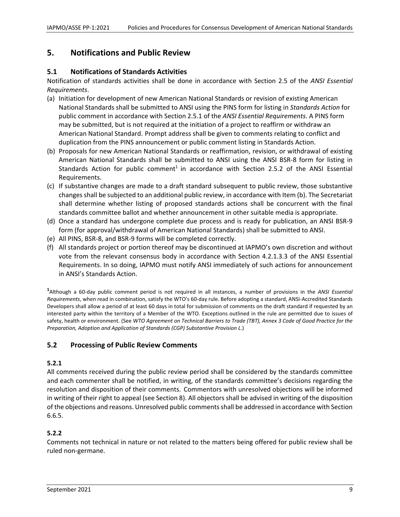# **5. Notifications and Public Review**

## **5.1 Notifications of Standards Activities**

Notification of standards activities shall be done in accordance with Section 2.5 of the *ANSI Essential Requirements*.

- (a) Initiation for development of new American National Standards or revision of existing American National Standards shall be submitted to ANSI using the PINS form for listing in *Standards Action* for public comment in accordance with Section 2.5.1 of the *ANSI Essential Requirements*. A PINS form may be submitted, but is not required at the initiation of a project to reaffirm or withdraw an American National Standard. Prompt address shall be given to comments relating to conflict and duplication from the PINS announcement or public comment listing in Standards Action.
- (b) Proposals for new American National Standards or reaffirmation, revision, or withdrawal of existing American National Standards shall be submitted to ANSI using the ANSI BSR‐8 form for listing in Standards Action for public comment<sup>1</sup> in accordance with Section 2.5.2 of the ANSI Essential Requirements.
- (c) If substantive changes are made to a draft standard subsequent to public review, those substantive changes shall be subjected to an additional public review, in accordance with Item (b). The Secretariat shall determine whether listing of proposed standards actions shall be concurrent with the final standards committee ballot and whether announcement in other suitable media is appropriate.
- (d) Once a standard has undergone complete due process and is ready for publication, an ANSI BSR‐9 form (for approval/withdrawal of American National Standards) shall be submitted to ANSI.
- (e) All PINS, BSR‐8, and BSR‐9 forms will be completed correctly.
- (f) All standards project or portion thereof may be discontinued at IAPMO's own discretion and without vote from the relevant consensus body in accordance with Section 4.2.1.3.3 of the ANSI Essential Requirements. In so doing, IAPMO must notify ANSI immediately of such actions for announcement in ANSI's Standards Action.

**1** Although a 60‐day public comment period is not required in all instances, a number of provisions in the *ANSI Essential Requirements*, when read in combination, satisfy the WTO's 60‐day rule. Before adopting a standard, ANSI‐Accredited Standards Developers shall allow a period of at least 60 days in total for submission of comments on the draft standard if requested by an interested party within the territory of a Member of the WTO. Exceptions outlined in the rule are permitted due to issues of safety, health or environment. (See WTO Agreement on Technical Barriers to Trade (TBT), Annex 3 Code of Good Practice for the *Preparation, Adoption and Application of Standards (CGP) Substantive Provision L*.)

## **5.2 Processing of Public Review Comments**

## **5.2.1**

All comments received during the public review period shall be considered by the standards committee and each commenter shall be notified, in writing, of the standards committee's decisions regarding the resolution and disposition of their comments. Commentors with unresolved objections will be informed in writing of their right to appeal (see Section 8). All objectors shall be advised in writing of the disposition of the objections and reasons. Unresolved public commentsshall be addressed in accordance with Section 6.6.5.

## **5.2.2**

Comments not technical in nature or not related to the matters being offered for public review shall be ruled non‐germane.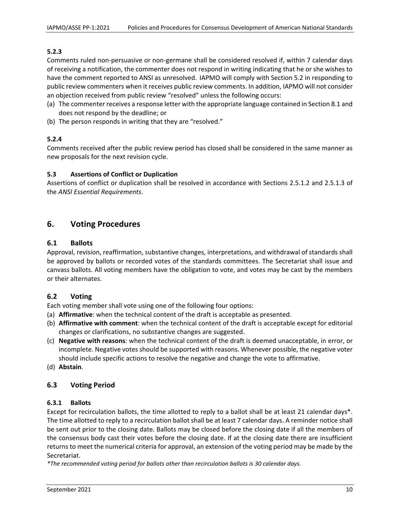#### **5.2.3**

Comments ruled non‐persuasive or non‐germane shall be considered resolved if, within 7 calendar days of receiving a notification, the commenter does not respond in writing indicating that he or she wishes to have the comment reported to ANSI as unresolved. IAPMO will comply with Section 5.2 in responding to public review commenters when it receives public review comments. In addition, IAPMO will not consider an objection received from public review "resolved" unless the following occurs:

- (a) The commenter receives a response letter with the appropriate language contained in Section 8.1 and does not respond by the deadline; or
- (b) The person responds in writing that they are "resolved."

## **5.2.4**

Comments received after the public review period has closed shall be considered in the same manner as new proposals for the next revision cycle.

#### **5.3 Assertions of Conflict or Duplication**

Assertions of conflict or duplication shall be resolved in accordance with Sections 2.5.1.2 and 2.5.1.3 of the *ANSI Essential Requirements*.

## **6. Voting Procedures**

#### **6.1 Ballots**

Approval, revision, reaffirmation, substantive changes, interpretations, and withdrawal of standards shall be approved by ballots or recorded votes of the standards committees. The Secretariat shall issue and canvass ballots. All voting members have the obligation to vote, and votes may be cast by the members or their alternates.

## **6.2 Voting**

Each voting member shall vote using one of the following four options:

- (a) **Affirmative**: when the technical content of the draft is acceptable as presented.
- (b) **Affirmative with comment**: when the technical content of the draft is acceptable except for editorial changes or clarifications, no substantive changes are suggested.
- (c) **Negative with reasons**: when the technical content of the draft is deemed unacceptable, in error, or incomplete. Negative votes should be supported with reasons. Whenever possible, the negative voter should include specific actions to resolve the negative and change the vote to affirmative.
- (d) **Abstain**.

## **6.3 Voting Period**

#### **6.3.1 Ballots**

Except for recirculation ballots, the time allotted to reply to a ballot shall be at least 21 calendar days\*. The time allotted to reply to a recirculation ballot shall be at least 7 calendar days. A reminder notice shall be sent out prior to the closing date. Ballots may be closed before the closing date if all the members of the consensus body cast their votes before the closing date. If at the closing date there are insufficient returns to meet the numerical criteria for approval, an extension of the voting period may be made by the Secretariat.

*\*The recommended voting period for ballots other than recirculation ballots is 30 calendar days.*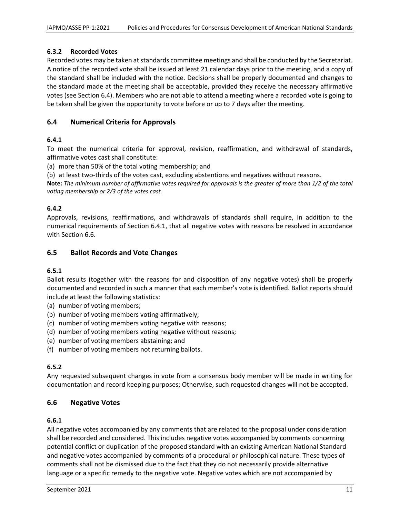## **6.3.2 Recorded Votes**

Recorded votes may be taken at standards committee meetings and shall be conducted by the Secretariat. A notice of the recorded vote shall be issued at least 21 calendar days prior to the meeting, and a copy of the standard shall be included with the notice. Decisions shall be properly documented and changes to the standard made at the meeting shall be acceptable, provided they receive the necessary affirmative votes (see Section 6.4). Members who are not able to attend a meeting where a recorded vote is going to be taken shall be given the opportunity to vote before or up to 7 days after the meeting.

## **6.4 Numerical Criteria for Approvals**

#### **6.4.1**

To meet the numerical criteria for approval, revision, reaffirmation, and withdrawal of standards, affirmative votes cast shall constitute:

(a) more than 50% of the total voting membership; and

(b) at least two‐thirds of the votes cast, excluding abstentions and negatives without reasons.

Note: The minimum number of affirmative votes required for approvals is the greater of more than 1/2 of the total *voting membership or 2/3 of the votes cast.*

#### **6.4.2**

Approvals, revisions, reaffirmations, and withdrawals of standards shall require, in addition to the numerical requirements of Section 6.4.1, that all negative votes with reasons be resolved in accordance with Section 6.6.

#### **6.5 Ballot Records and Vote Changes**

#### **6.5.1**

Ballot results (together with the reasons for and disposition of any negative votes) shall be properly documented and recorded in such a manner that each member's vote is identified. Ballot reports should include at least the following statistics:

- (a) number of voting members;
- (b) number of voting members voting affirmatively;
- (c) number of voting members voting negative with reasons;
- (d) number of voting members voting negative without reasons;
- (e) number of voting members abstaining; and
- (f) number of voting members not returning ballots.

## **6.5.2**

Any requested subsequent changes in vote from a consensus body member will be made in writing for documentation and record keeping purposes; Otherwise, such requested changes will not be accepted.

#### **6.6 Negative Votes**

#### **6.6.1**

All negative votes accompanied by any comments that are related to the proposal under consideration shall be recorded and considered. This includes negative votes accompanied by comments concerning potential conflict or duplication of the proposed standard with an existing American National Standard and negative votes accompanied by comments of a procedural or philosophical nature. These types of comments shall not be dismissed due to the fact that they do not necessarily provide alternative language or a specific remedy to the negative vote. Negative votes which are not accompanied by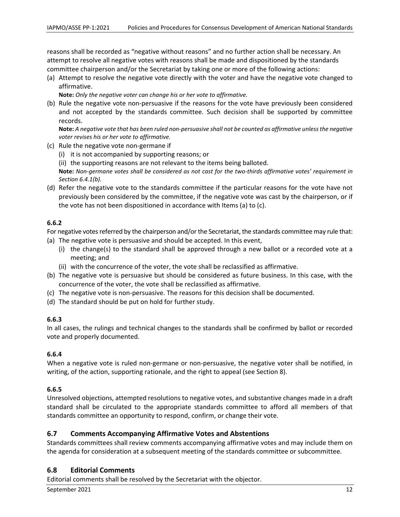reasons shall be recorded as "negative without reasons" and no further action shall be necessary. An attempt to resolve all negative votes with reasons shall be made and dispositioned by the standards committee chairperson and/or the Secretariat by taking one or more of the following actions:

(a) Attempt to resolve the negative vote directly with the voter and have the negative vote changed to affirmative.

**Note:** *Only the negative voter can change his or her vote to affirmative.*

(b) Rule the negative vote non‐persuasive if the reasons for the vote have previously been considered and not accepted by the standards committee. Such decision shall be supported by committee records.

Note: A negative vote that has been ruled non-persuasive shall not be counted as affirmative unless the negative *voter revises his or her vote to affirmative.*

- (c) Rule the negative vote non‐germane if
	- (i) it is not accompanied by supporting reasons; or
	- (ii) the supporting reasons are not relevant to the items being balloted.

Note: Non-germane votes shall be considered as not cast for the two-thirds affirmative votes' requirement in *Section 6.4.1(b).*

(d) Refer the negative vote to the standards committee if the particular reasons for the vote have not previously been considered by the committee, if the negative vote was cast by the chairperson, or if the vote has not been dispositioned in accordance with Items (a) to (c).

#### **6.6.2**

For negative votes referred by the chairperson and/or the Secretariat, the standards committee may rule that:

- (a) The negative vote is persuasive and should be accepted. In this event,
	- (i) the change(s) to the standard shall be approved through a new ballot or a recorded vote at a meeting; and
	- (ii) with the concurrence of the voter, the vote shall be reclassified as affirmative.
- (b) The negative vote is persuasive but should be considered as future business. In this case, with the concurrence of the voter, the vote shall be reclassified as affirmative.
- (c) The negative vote is non‐persuasive. The reasons for this decision shall be documented.
- (d) The standard should be put on hold for further study.

## **6.6.3**

In all cases, the rulings and technical changes to the standards shall be confirmed by ballot or recorded vote and properly documented.

## **6.6.4**

When a negative vote is ruled non-germane or non-persuasive, the negative voter shall be notified, in writing, of the action, supporting rationale, and the right to appeal (see Section 8).

## **6.6.5**

Unresolved objections, attempted resolutions to negative votes, and substantive changes made in a draft standard shall be circulated to the appropriate standards committee to afford all members of that standards committee an opportunity to respond, confirm, or change their vote.

## **6.7 Comments Accompanying Affirmative Votes and Abstentions**

Standards committees shall review comments accompanying affirmative votes and may include them on the agenda for consideration at a subsequent meeting of the standards committee or subcommittee.

## **6.8 Editorial Comments**

Editorial comments shall be resolved by the Secretariat with the objector.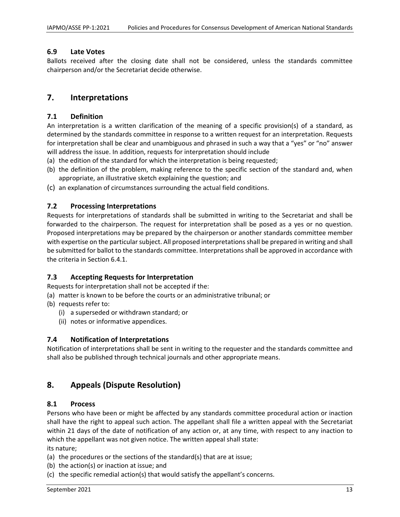#### **6.9 Late Votes**

Ballots received after the closing date shall not be considered, unless the standards committee chairperson and/or the Secretariat decide otherwise.

## **7. Interpretations**

#### **7.1 Definition**

An interpretation is a written clarification of the meaning of a specific provision(s) of a standard, as determined by the standards committee in response to a written request for an interpretation. Requests for interpretation shall be clear and unambiguous and phrased in such a way that a "yes" or "no" answer will address the issue. In addition, requests for interpretation should include

- (a) the edition of the standard for which the interpretation is being requested;
- (b) the definition of the problem, making reference to the specific section of the standard and, when appropriate, an illustrative sketch explaining the question; and
- (c) an explanation of circumstances surrounding the actual field conditions.

#### **7.2 Processing Interpretations**

Requests for interpretations of standards shall be submitted in writing to the Secretariat and shall be forwarded to the chairperson. The request for interpretation shall be posed as a yes or no question. Proposed interpretations may be prepared by the chairperson or another standards committee member with expertise on the particular subject. All proposed interpretations shall be prepared in writing and shall be submitted for ballot to the standards committee. Interpretations shall be approved in accordance with the criteria in Section 6.4.1.

#### **7.3 Accepting Requests for Interpretation**

Requests for interpretation shall not be accepted if the:

- (a) matter is known to be before the courts or an administrative tribunal; or
- (b) requests refer to:
	- (i) a superseded or withdrawn standard; or
	- (ii) notes or informative appendices.

## **7.4 Notification of Interpretations**

Notification of interpretations shall be sent in writing to the requester and the standards committee and shall also be published through technical journals and other appropriate means.

## **8. Appeals (Dispute Resolution)**

#### **8.1 Process**

Persons who have been or might be affected by any standards committee procedural action or inaction shall have the right to appeal such action. The appellant shall file a written appeal with the Secretariat within 21 days of the date of notification of any action or, at any time, with respect to any inaction to which the appellant was not given notice. The written appeal shall state:

its nature;

- (a) the procedures or the sections of the standard(s) that are at issue;
- (b) the action(s) or inaction at issue; and
- (c) the specific remedial action(s) that would satisfy the appellant's concerns.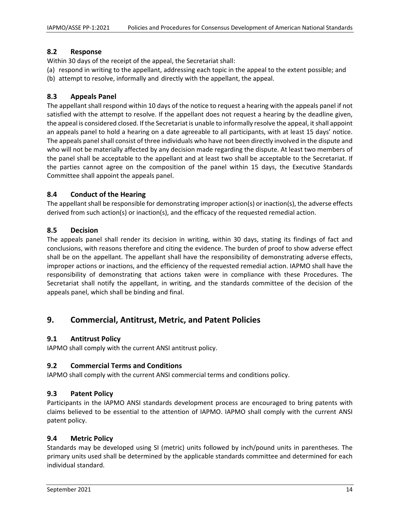## **8.2 Response**

Within 30 days of the receipt of the appeal, the Secretariat shall:

(a) respond in writing to the appellant, addressing each topic in the appeal to the extent possible; and

(b) attempt to resolve, informally and directly with the appellant, the appeal.

## **8.3 Appeals Panel**

The appellant shall respond within 10 days of the notice to request a hearing with the appeals panel if not satisfied with the attempt to resolve. If the appellant does not request a hearing by the deadline given, the appeal is considered closed. If the Secretariat is unable to informally resolve the appeal, it shall appoint an appeals panel to hold a hearing on a date agreeable to all participants, with at least 15 days' notice. The appeals panel shall consist of three individuals who have not been directly involved in the dispute and who will not be materially affected by any decision made regarding the dispute. At least two members of the panel shall be acceptable to the appellant and at least two shall be acceptable to the Secretariat. If the parties cannot agree on the composition of the panel within 15 days, the Executive Standards Committee shall appoint the appeals panel.

## **8.4 Conduct of the Hearing**

The appellant shall be responsible for demonstrating improper action(s) or inaction(s), the adverse effects derived from such action(s) or inaction(s), and the efficacy of the requested remedial action.

## **8.5 Decision**

The appeals panel shall render its decision in writing, within 30 days, stating its findings of fact and conclusions, with reasons therefore and citing the evidence. The burden of proof to show adverse effect shall be on the appellant. The appellant shall have the responsibility of demonstrating adverse effects, improper actions or inactions, and the efficiency of the requested remedial action. IAPMO shall have the responsibility of demonstrating that actions taken were in compliance with these Procedures. The Secretariat shall notify the appellant, in writing, and the standards committee of the decision of the appeals panel, which shall be binding and final.

# **9. Commercial, Antitrust, Metric, and Patent Policies**

## **9.1 Antitrust Policy**

IAPMO shall comply with the current ANSI antitrust policy.

## **9.2 Commercial Terms and Conditions**

IAPMO shall comply with the current ANSI commercial terms and conditions policy.

## **9.3 Patent Policy**

Participants in the IAPMO ANSI standards development process are encouraged to bring patents with claims believed to be essential to the attention of IAPMO. IAPMO shall comply with the current ANSI patent policy.

## **9.4 Metric Policy**

Standards may be developed using SI (metric) units followed by inch/pound units in parentheses. The primary units used shall be determined by the applicable standards committee and determined for each individual standard.